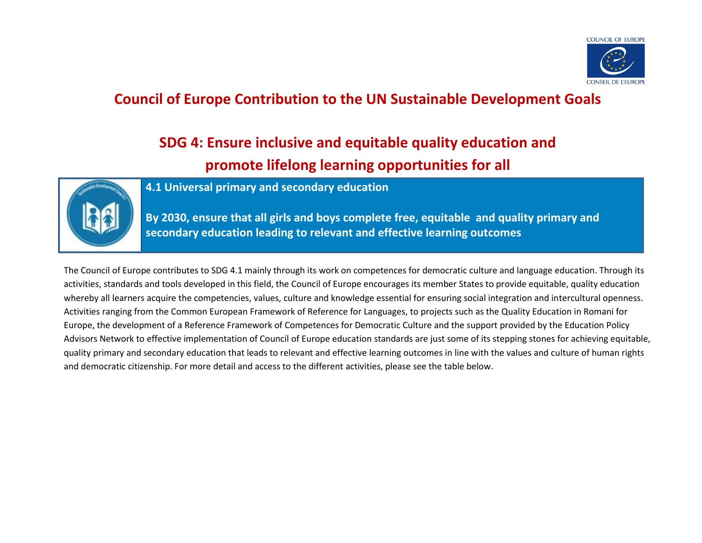

### **Council of Europe Contribution to the UN Sustainable Development Goals**

# **SDG 4: Ensure inclusive and equitable quality education and promote lifelong learning opportunities for all**



**4.1 Universal primary and secondary education**

**By 2030, ensure that all girls and boys complete free, equitable and quality primary and secondary education leading to relevant and effective learning outcomes**

The Council of Europe contributes to SDG 4.1 mainly through its work on competences for democratic culture and language education. Through its activities, standards and tools developed in this field, the Council of Europe encourages its member States to provide equitable, quality education whereby all learners acquire the competencies, values, culture and knowledge essential for ensuring social integration and intercultural openness. Activities ranging from the Common European Framework of Reference for Languages, to projects such as the Quality Education in Romani for Europe, the development of a Reference Framework of Competences for Democratic Culture and the support provided by the Education Policy Advisors Network to effective implementation of Council of Europe education standards are just some of its stepping stones for achieving equitable, quality primary and secondary education that leads to relevant and effective learning outcomes in line with the values and culture of human rights and democratic citizenship. For more detail and access to the different activities, please see the table below.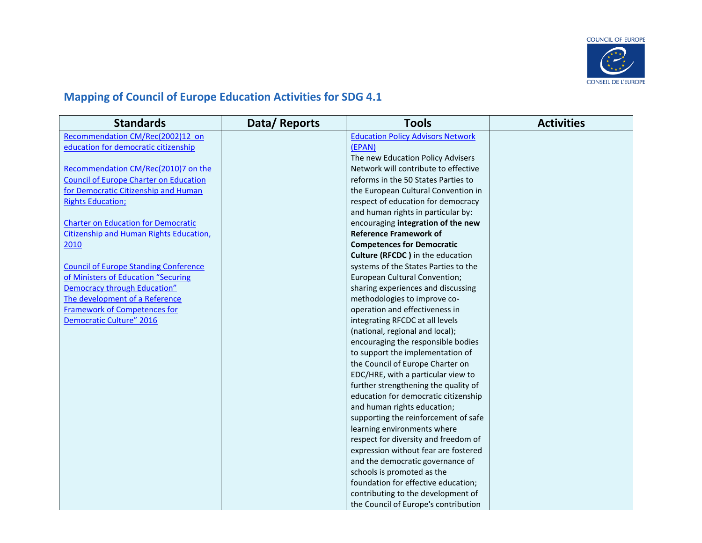

## **Mapping of Council of Europe Education Activities for SDG 4.1**

| <b>Standards</b>                              | Data/Reports | <b>Tools</b>                             | <b>Activities</b> |
|-----------------------------------------------|--------------|------------------------------------------|-------------------|
| Recommendation CM/Rec(2002)12 on              |              | <b>Education Policy Advisors Network</b> |                   |
| education for democratic citizenship          |              | (EPAN)                                   |                   |
|                                               |              | The new Education Policy Advisers        |                   |
| Recommendation CM/Rec(2010)7 on the           |              | Network will contribute to effective     |                   |
| <b>Council of Europe Charter on Education</b> |              | reforms in the 50 States Parties to      |                   |
| for Democratic Citizenship and Human          |              | the European Cultural Convention in      |                   |
| <b>Rights Education;</b>                      |              | respect of education for democracy       |                   |
|                                               |              | and human rights in particular by:       |                   |
| <b>Charter on Education for Democratic</b>    |              | encouraging integration of the new       |                   |
| Citizenship and Human Rights Education,       |              | <b>Reference Framework of</b>            |                   |
| 2010                                          |              | <b>Competences for Democratic</b>        |                   |
|                                               |              | <b>Culture (RFCDC)</b> in the education  |                   |
| <b>Council of Europe Standing Conference</b>  |              | systems of the States Parties to the     |                   |
| of Ministers of Education "Securing           |              | European Cultural Convention;            |                   |
| <b>Democracy through Education"</b>           |              | sharing experiences and discussing       |                   |
| The development of a Reference                |              | methodologies to improve co-             |                   |
| <b>Framework of Competences for</b>           |              | operation and effectiveness in           |                   |
| <b>Democratic Culture" 2016</b>               |              | integrating RFCDC at all levels          |                   |
|                                               |              | (national, regional and local);          |                   |
|                                               |              | encouraging the responsible bodies       |                   |
|                                               |              | to support the implementation of         |                   |
|                                               |              | the Council of Europe Charter on         |                   |
|                                               |              | EDC/HRE, with a particular view to       |                   |
|                                               |              | further strengthening the quality of     |                   |
|                                               |              | education for democratic citizenship     |                   |
|                                               |              | and human rights education;              |                   |
|                                               |              | supporting the reinforcement of safe     |                   |
|                                               |              | learning environments where              |                   |
|                                               |              | respect for diversity and freedom of     |                   |
|                                               |              | expression without fear are fostered     |                   |
|                                               |              | and the democratic governance of         |                   |
|                                               |              | schools is promoted as the               |                   |
|                                               |              | foundation for effective education;      |                   |
|                                               |              | contributing to the development of       |                   |
|                                               |              | the Council of Europe's contribution     |                   |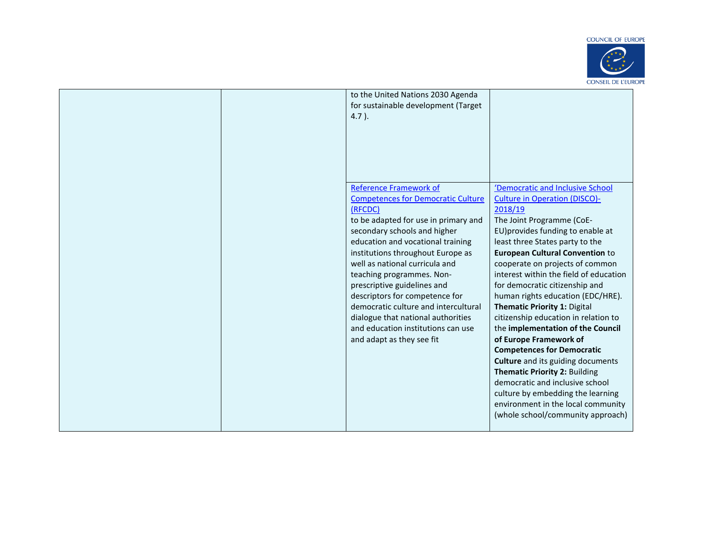#### **COUNCIL OF EUROPE**



|  | to the United Nations 2030 Agenda<br>for sustainable development (Target<br>$4.7$ ).                                                                                                                                                                                                                                                                                                                                                                                                                                     |                                                                                                                                                                                                                                                                                                                                                                                                                                                                                                                                                                                                                                                                                                                                                                                                           |
|--|--------------------------------------------------------------------------------------------------------------------------------------------------------------------------------------------------------------------------------------------------------------------------------------------------------------------------------------------------------------------------------------------------------------------------------------------------------------------------------------------------------------------------|-----------------------------------------------------------------------------------------------------------------------------------------------------------------------------------------------------------------------------------------------------------------------------------------------------------------------------------------------------------------------------------------------------------------------------------------------------------------------------------------------------------------------------------------------------------------------------------------------------------------------------------------------------------------------------------------------------------------------------------------------------------------------------------------------------------|
|  | <b>Reference Framework of</b><br><b>Competences for Democratic Culture</b><br>(RFCDC)<br>to be adapted for use in primary and<br>secondary schools and higher<br>education and vocational training<br>institutions throughout Europe as<br>well as national curricula and<br>teaching programmes. Non-<br>prescriptive guidelines and<br>descriptors for competence for<br>democratic culture and intercultural<br>dialogue that national authorities<br>and education institutions can use<br>and adapt as they see fit | 'Democratic and Inclusive School<br><b>Culture in Operation (DISCO)-</b><br>2018/19<br>The Joint Programme (CoE-<br>EU) provides funding to enable at<br>least three States party to the<br><b>European Cultural Convention to</b><br>cooperate on projects of common<br>interest within the field of education<br>for democratic citizenship and<br>human rights education (EDC/HRE).<br>Thematic Priority 1: Digital<br>citizenship education in relation to<br>the implementation of the Council<br>of Europe Framework of<br><b>Competences for Democratic</b><br><b>Culture</b> and its guiding documents<br><b>Thematic Priority 2: Building</b><br>democratic and inclusive school<br>culture by embedding the learning<br>environment in the local community<br>(whole school/community approach) |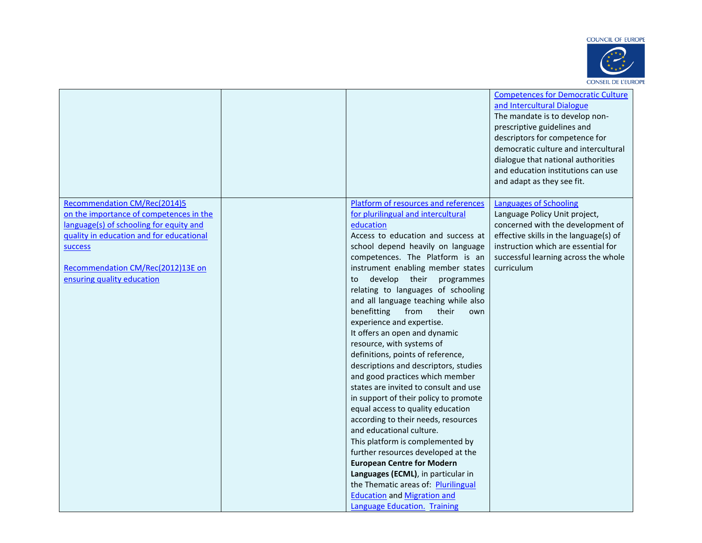



|                                                                                                                                                                                                                                                            |                                                                                                                                                                                                                                                                                                                                                                                                                                                                                                                                                                                                                                                                                                                                                                                                                                                                                                                                                                                                                                                                           | <b>Competences for Democratic Culture</b><br>and Intercultural Dialogue<br>The mandate is to develop non-<br>prescriptive guidelines and<br>descriptors for competence for<br>democratic culture and intercultural<br>dialogue that national authorities<br>and education institutions can use<br>and adapt as they see fit. |
|------------------------------------------------------------------------------------------------------------------------------------------------------------------------------------------------------------------------------------------------------------|---------------------------------------------------------------------------------------------------------------------------------------------------------------------------------------------------------------------------------------------------------------------------------------------------------------------------------------------------------------------------------------------------------------------------------------------------------------------------------------------------------------------------------------------------------------------------------------------------------------------------------------------------------------------------------------------------------------------------------------------------------------------------------------------------------------------------------------------------------------------------------------------------------------------------------------------------------------------------------------------------------------------------------------------------------------------------|------------------------------------------------------------------------------------------------------------------------------------------------------------------------------------------------------------------------------------------------------------------------------------------------------------------------------|
| <b>Recommendation CM/Rec(2014)5</b><br>on the importance of competences in the<br>language(s) of schooling for equity and<br>quality in education and for educational<br><b>SUCCESS</b><br>Recommendation CM/Rec(2012)13E on<br>ensuring quality education | Platform of resources and references<br>for plurilingual and intercultural<br>education<br>Access to education and success at<br>school depend heavily on language<br>competences. The Platform is an<br>instrument enabling member states<br>develop their programmes<br>to<br>relating to languages of schooling<br>and all language teaching while also<br>benefitting<br>from<br>their<br>own<br>experience and expertise.<br>It offers an open and dynamic<br>resource, with systems of<br>definitions, points of reference,<br>descriptions and descriptors, studies<br>and good practices which member<br>states are invited to consult and use<br>in support of their policy to promote<br>equal access to quality education<br>according to their needs, resources<br>and educational culture.<br>This platform is complemented by<br>further resources developed at the<br><b>European Centre for Modern</b><br>Languages (ECML), in particular in<br>the Thematic areas of: Plurilingual<br><b>Education and Migration and</b><br>Language Education. Training | <b>Languages of Schooling</b><br>Language Policy Unit project,<br>concerned with the development of<br>effective skills in the language(s) of<br>instruction which are essential for<br>successful learning across the whole<br>curriculum                                                                                   |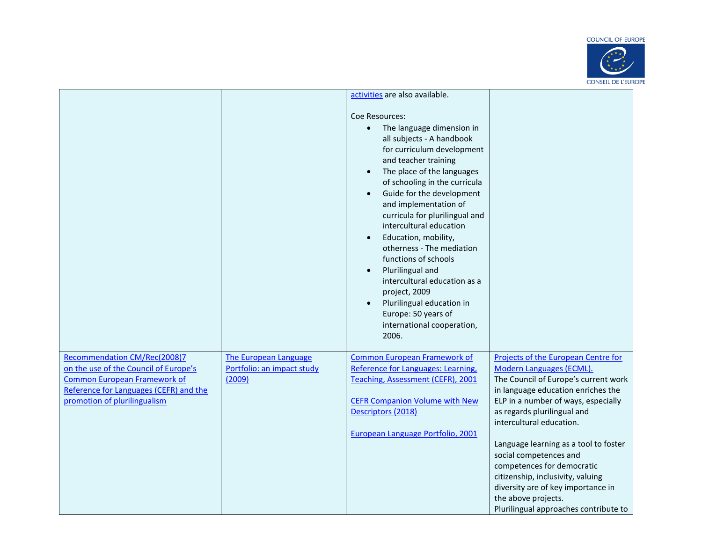### **COUNCIL OF EUROPE**



|                                                                                                                                                                                        |                                                                      | activities are also available.                                                                                                                                                                                                                                                                                                                                                                                                                                                                                                                                |                                                                                                                                                                                                                                                                                                                                                                                                                                                                                             |
|----------------------------------------------------------------------------------------------------------------------------------------------------------------------------------------|----------------------------------------------------------------------|---------------------------------------------------------------------------------------------------------------------------------------------------------------------------------------------------------------------------------------------------------------------------------------------------------------------------------------------------------------------------------------------------------------------------------------------------------------------------------------------------------------------------------------------------------------|---------------------------------------------------------------------------------------------------------------------------------------------------------------------------------------------------------------------------------------------------------------------------------------------------------------------------------------------------------------------------------------------------------------------------------------------------------------------------------------------|
|                                                                                                                                                                                        |                                                                      | Coe Resources:<br>The language dimension in<br>all subjects - A handbook<br>for curriculum development<br>and teacher training<br>The place of the languages<br>of schooling in the curricula<br>Guide for the development<br>and implementation of<br>curricula for plurilingual and<br>intercultural education<br>Education, mobility,<br>otherness - The mediation<br>functions of schools<br>Plurilingual and<br>intercultural education as a<br>project, 2009<br>Plurilingual education in<br>Europe: 50 years of<br>international cooperation,<br>2006. |                                                                                                                                                                                                                                                                                                                                                                                                                                                                                             |
| Recommendation CM/Rec(2008)7<br>on the use of the Council of Europe's<br><b>Common European Framework of</b><br>Reference for Languages (CEFR) and the<br>promotion of plurilingualism | <b>The European Language</b><br>Portfolio: an impact study<br>(2009) | <b>Common European Framework of</b><br>Reference for Languages: Learning,<br>Teaching, Assessment (CEFR), 2001<br><b>CEFR Companion Volume with New</b><br>Descriptors (2018)<br>European Language Portfolio, 2001                                                                                                                                                                                                                                                                                                                                            | Projects of the European Centre for<br>Modern Languages (ECML).<br>The Council of Europe's current work<br>in language education enriches the<br>ELP in a number of ways, especially<br>as regards plurilingual and<br>intercultural education.<br>Language learning as a tool to foster<br>social competences and<br>competences for democratic<br>citizenship, inclusivity, valuing<br>diversity are of key importance in<br>the above projects.<br>Plurilingual approaches contribute to |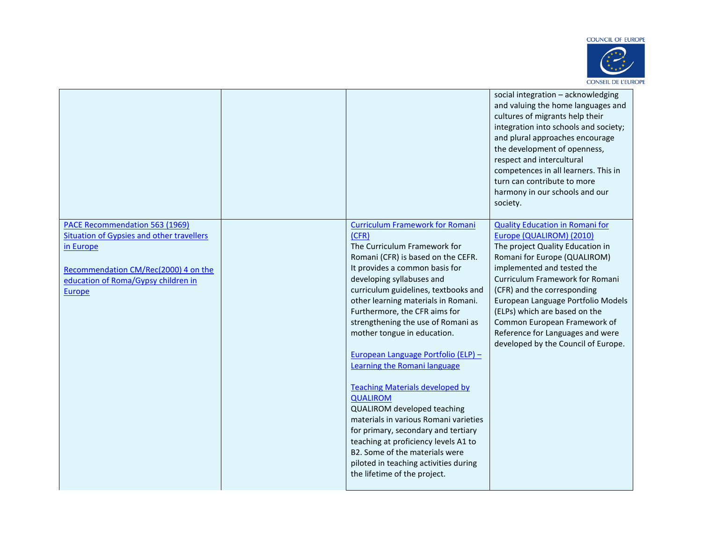

|                                                                             |                                                             | social integration - acknowledging<br>and valuing the home languages and<br>cultures of migrants help their<br>integration into schools and society;<br>and plural approaches encourage<br>the development of openness,<br>respect and intercultural<br>competences in all learners. This in<br>turn can contribute to more<br>harmony in our schools and our<br>society. |
|-----------------------------------------------------------------------------|-------------------------------------------------------------|---------------------------------------------------------------------------------------------------------------------------------------------------------------------------------------------------------------------------------------------------------------------------------------------------------------------------------------------------------------------------|
| PACE Recommendation 563 (1969)<br>Situation of Gypsies and other travellers | <b>Curriculum Framework for Romani</b><br>(CFR)             | <b>Quality Education in Romani for</b><br>Europe (QUALIROM) (2010)                                                                                                                                                                                                                                                                                                        |
| in Europe                                                                   | The Curriculum Framework for                                | The project Quality Education in                                                                                                                                                                                                                                                                                                                                          |
|                                                                             | Romani (CFR) is based on the CEFR.                          | Romani for Europe (QUALIROM)                                                                                                                                                                                                                                                                                                                                              |
| Recommendation CM/Rec(2000) 4 on the                                        | It provides a common basis for<br>developing syllabuses and | implemented and tested the<br>Curriculum Framework for Romani                                                                                                                                                                                                                                                                                                             |
| education of Roma/Gypsy children in                                         | curriculum guidelines, textbooks and                        | (CFR) and the corresponding                                                                                                                                                                                                                                                                                                                                               |
| Europe                                                                      | other learning materials in Romani.                         | European Language Portfolio Models                                                                                                                                                                                                                                                                                                                                        |
|                                                                             | Furthermore, the CFR aims for                               | (ELPs) which are based on the                                                                                                                                                                                                                                                                                                                                             |
|                                                                             | strengthening the use of Romani as                          | Common European Framework of                                                                                                                                                                                                                                                                                                                                              |
|                                                                             | mother tongue in education.                                 | Reference for Languages and were<br>developed by the Council of Europe.                                                                                                                                                                                                                                                                                                   |
|                                                                             | European Language Portfolio (ELP) -                         |                                                                                                                                                                                                                                                                                                                                                                           |
|                                                                             | Learning the Romani language                                |                                                                                                                                                                                                                                                                                                                                                                           |
|                                                                             | <b>Teaching Materials developed by</b>                      |                                                                                                                                                                                                                                                                                                                                                                           |
|                                                                             | <b>QUALIROM</b>                                             |                                                                                                                                                                                                                                                                                                                                                                           |
|                                                                             | QUALIROM developed teaching                                 |                                                                                                                                                                                                                                                                                                                                                                           |
|                                                                             | materials in various Romani varieties                       |                                                                                                                                                                                                                                                                                                                                                                           |
|                                                                             | for primary, secondary and tertiary                         |                                                                                                                                                                                                                                                                                                                                                                           |
|                                                                             | teaching at proficiency levels A1 to                        |                                                                                                                                                                                                                                                                                                                                                                           |
|                                                                             | B2. Some of the materials were                              |                                                                                                                                                                                                                                                                                                                                                                           |
|                                                                             | piloted in teaching activities during                       |                                                                                                                                                                                                                                                                                                                                                                           |
|                                                                             | the lifetime of the project.                                |                                                                                                                                                                                                                                                                                                                                                                           |